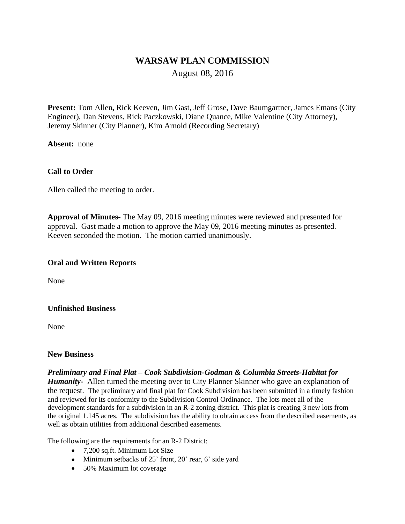# **WARSAW PLAN COMMISSION**

August 08, 2016

**Present:** Tom Allen**,** Rick Keeven, Jim Gast, Jeff Grose, Dave Baumgartner, James Emans (City Engineer), Dan Stevens, Rick Paczkowski, Diane Quance, Mike Valentine (City Attorney), Jeremy Skinner (City Planner), Kim Arnold (Recording Secretary)

**Absent:** none

### **Call to Order**

Allen called the meeting to order.

**Approval of Minutes-** The May 09, 2016 meeting minutes were reviewed and presented for approval. Gast made a motion to approve the May 09, 2016 meeting minutes as presented. Keeven seconded the motion. The motion carried unanimously.

#### **Oral and Written Reports**

None

#### **Unfinished Business**

None

#### **New Business**

*Preliminary and Final Plat – Cook Subdivision-Godman & Columbia Streets-Habitat for Humanity-* Allen turned the meeting over to City Planner Skinner who gave an explanation of the request. The preliminary and final plat for Cook Subdivision has been submitted in a timely fashion and reviewed for its conformity to the Subdivision Control Ordinance. The lots meet all of the development standards for a subdivision in an R-2 zoning district. This plat is creating 3 new lots from the original 1.145 acres. The subdivision has the ability to obtain access from the described easements, as well as obtain utilities from additional described easements.

The following are the requirements for an R-2 District:

- 7,200 sq.ft. Minimum Lot Size
- Minimum setbacks of 25' front, 20' rear, 6' side yard
- 50% Maximum lot coverage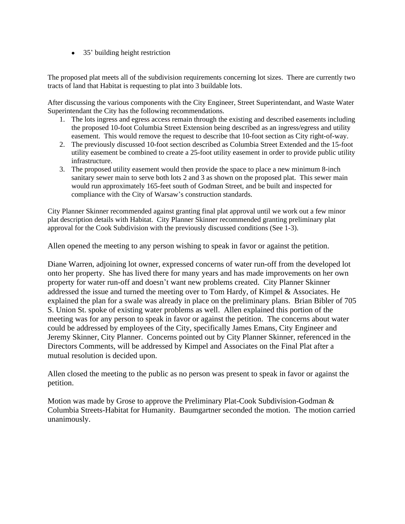• 35' building height restriction

The proposed plat meets all of the subdivision requirements concerning lot sizes. There are currently two tracts of land that Habitat is requesting to plat into 3 buildable lots.

After discussing the various components with the City Engineer, Street Superintendant, and Waste Water Superintendant the City has the following recommendations.

- 1. The lots ingress and egress access remain through the existing and described easements including the proposed 10-foot Columbia Street Extension being described as an ingress/egress and utility easement. This would remove the request to describe that 10-foot section as City right-of-way.
- 2. The previously discussed 10-foot section described as Columbia Street Extended and the 15-foot utility easement be combined to create a 25-foot utility easement in order to provide public utility infrastructure.
- 3. The proposed utility easement would then provide the space to place a new minimum 8-inch sanitary sewer main to serve both lots 2 and 3 as shown on the proposed plat. This sewer main would run approximately 165-feet south of Godman Street, and be built and inspected for compliance with the City of Warsaw's construction standards.

City Planner Skinner recommended against granting final plat approval until we work out a few minor plat description details with Habitat. City Planner Skinner recommended granting preliminary plat approval for the Cook Subdivision with the previously discussed conditions (See 1-3).

Allen opened the meeting to any person wishing to speak in favor or against the petition.

Diane Warren, adjoining lot owner, expressed concerns of water run-off from the developed lot onto her property. She has lived there for many years and has made improvements on her own property for water run-off and doesn't want new problems created. City Planner Skinner addressed the issue and turned the meeting over to Tom Hardy, of Kimpel & Associates. He explained the plan for a swale was already in place on the preliminary plans. Brian Bibler of 705 S. Union St. spoke of existing water problems as well. Allen explained this portion of the meeting was for any person to speak in favor or against the petition. The concerns about water could be addressed by employees of the City, specifically James Emans, City Engineer and Jeremy Skinner, City Planner. Concerns pointed out by City Planner Skinner, referenced in the Directors Comments, will be addressed by Kimpel and Associates on the Final Plat after a mutual resolution is decided upon.

Allen closed the meeting to the public as no person was present to speak in favor or against the petition.

Motion was made by Grose to approve the Preliminary Plat-Cook Subdivision-Godman & Columbia Streets-Habitat for Humanity. Baumgartner seconded the motion. The motion carried unanimously.